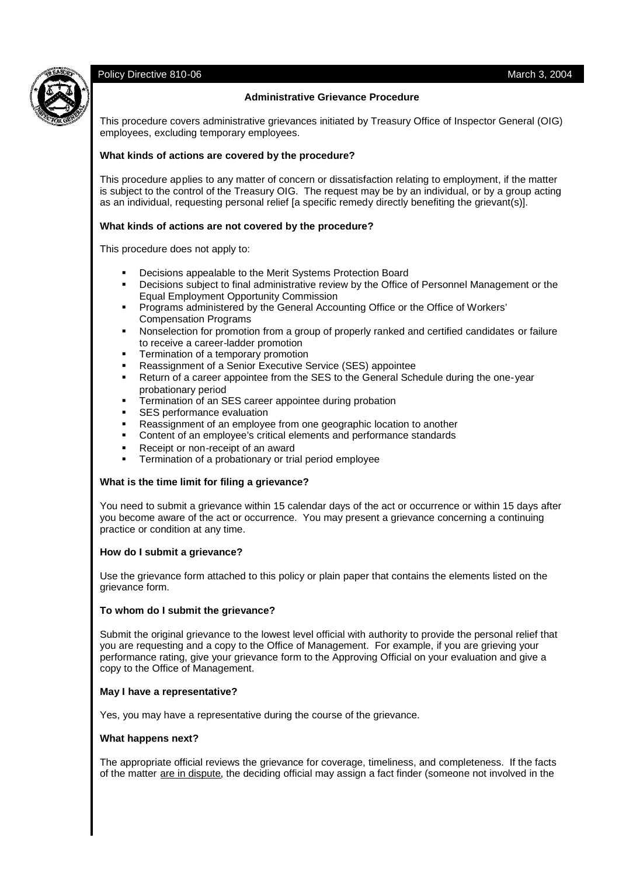

# Policy Directive 810-06 March 3, 2004

# **Administrative Grievance Procedure**

This procedure covers administrative grievances initiated by Treasury Office of Inspector General (OIG) employees, excluding temporary employees.

## **What kinds of actions are covered by the procedure?**

This procedure applies to any matter of concern or dissatisfaction relating to employment, if the matter is subject to the control of the Treasury OIG. The request may be by an individual, or by a group acting as an individual, requesting personal relief [a specific remedy directly benefiting the grievant(s)].

# **What kinds of actions are not covered by the procedure?**

This procedure does not apply to:

- Decisions appealable to the Merit Systems Protection Board
- Decisions subject to final administrative review by the Office of Personnel Management or the Equal Employment Opportunity Commission
- Programs administered by the General Accounting Office or the Office of Workers' Compensation Programs
- Nonselection for promotion from a group of properly ranked and certified candidates or failure to receive a career-ladder promotion
- Termination of a temporary promotion
- Reassignment of a Senior Executive Service (SES) appointee
- Return of a career appointee from the SES to the General Schedule during the one-year probationary period
- Termination of an SES career appointee during probation
- SES performance evaluation
- Reassignment of an employee from one geographic location to another
- Content of an employee's critical elements and performance standards
- Receipt or non-receipt of an award
- Termination of a probationary or trial period employee

## **What is the time limit for filing a grievance?**

You need to submit a grievance within 15 calendar days of the act or occurrence or within 15 days after you become aware of the act or occurrence. You may present a grievance concerning a continuing practice or condition at any time.

## **How do I submit a grievance?**

Use the grievance form attached to this policy or plain paper that contains the elements listed on the grievance form.

## **To whom do I submit the grievance?**

Submit the original grievance to the lowest level official with authority to provide the personal relief that you are requesting and a copy to the Office of Management. For example, if you are grieving your performance rating, give your grievance form to the Approving Official on your evaluation and give a copy to the Office of Management.

# **May I have a representative?**

Yes, you may have a representative during the course of the grievance.

## **What happens next?**

The appropriate official reviews the grievance for coverage, timeliness, and completeness. If the facts of the matter are in dispute, the deciding official may assign a fact finder (someone not involved in the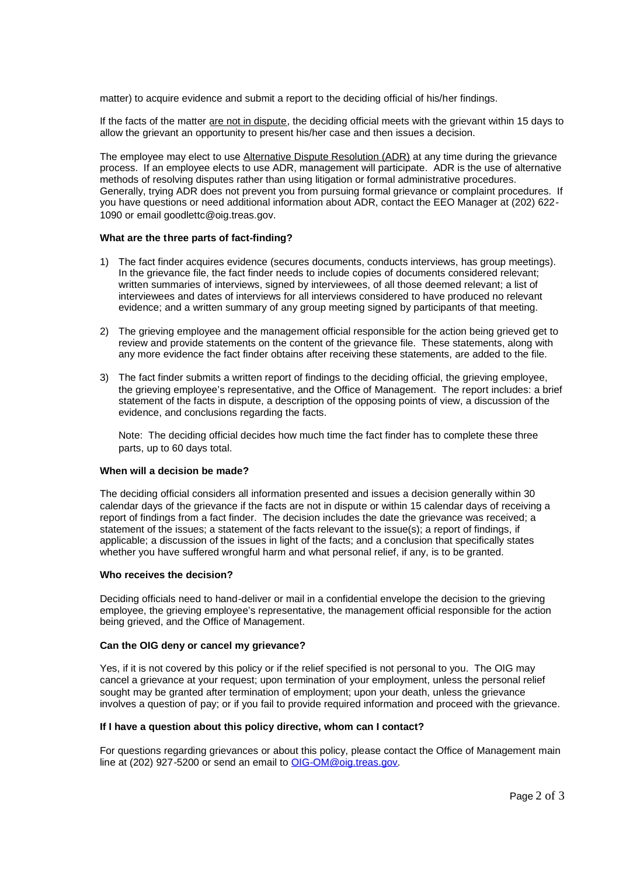matter) to acquire evidence and submit a report to the deciding official of his/her findings.

If the facts of the matter are not in dispute, the deciding official meets with the grievant within 15 days to allow the grievant an opportunity to present his/her case and then issues a decision.

The employee may elect to use Alternative Dispute Resolution (ADR) at any time during the grievance process. If an employee elects to use ADR, management will participate. ADR is the use of alternative methods of resolving disputes rather than using litigation or formal administrative procedures. Generally, trying ADR does not prevent you from pursuing formal grievance or complaint procedures. If you have questions or need additional information about ADR, contact the EEO Manager at (202) 622- 1090 or email goodlettc@oig.treas.gov.

#### **What are the three parts of fact-finding?**

- 1) The fact finder acquires evidence (secures documents, conducts interviews, has group meetings). In the grievance file, the fact finder needs to include copies of documents considered relevant; written summaries of interviews, signed by interviewees, of all those deemed relevant; a list of interviewees and dates of interviews for all interviews considered to have produced no relevant evidence; and a written summary of any group meeting signed by participants of that meeting.
- 2) The grieving employee and the management official responsible for the action being grieved get to review and provide statements on the content of the grievance file. These statements, along with any more evidence the fact finder obtains after receiving these statements, are added to the file.
- 3) The fact finder submits a written report of findings to the deciding official, the grieving employee, the grieving employee's representative, and the Office of Management. The report includes: a brief statement of the facts in dispute, a description of the opposing points of view, a discussion of the evidence, and conclusions regarding the facts.

Note: The deciding official decides how much time the fact finder has to complete these three parts, up to 60 days total.

#### **When will a decision be made?**

The deciding official considers all information presented and issues a decision generally within 30 calendar days of the grievance if the facts are not in dispute or within 15 calendar days of receiving a report of findings from a fact finder. The decision includes the date the grievance was received; a statement of the issues; a statement of the facts relevant to the issue(s); a report of findings, if applicable; a discussion of the issues in light of the facts; and a conclusion that specifically states whether you have suffered wrongful harm and what personal relief, if any, is to be granted.

#### **Who receives the decision?**

Deciding officials need to hand-deliver or mail in a confidential envelope the decision to the grieving employee, the grieving employee's representative, the management official responsible for the action being grieved, and the Office of Management.

#### **Can the OIG deny or cancel my grievance?**

Yes, if it is not covered by this policy or if the relief specified is not personal to you. The OIG may cancel a grievance at your request; upon termination of your employment, unless the personal relief sought may be granted after termination of employment; upon your death, unless the grievance involves a question of pay; or if you fail to provide required information and proceed with the grievance.

## **If I have a question about this policy directive, whom can I contact?**

For questions regarding grievances or about this policy, please contact the Office of Management main line at (202) 927-5200 or send an email to OIG-OM@oig.treas.gov.